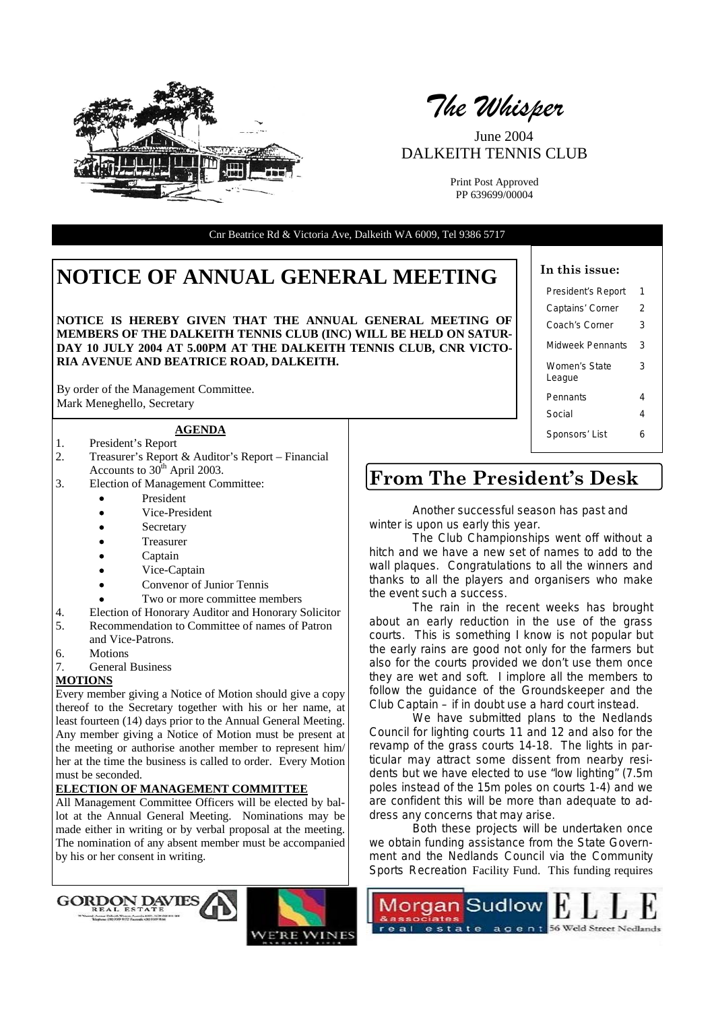

*The Whisper* 

June 2004 DALKEITH TENNIS CLUB

Print Post Approved PP 639699/00004

Cnr Beatrice Rd & Victoria Ave, Dalkeith WA 6009, Tel 9386 5717

# **NOTICE OF ANNUAL GENERAL MEETING**  $\begin{bmatrix} \end{bmatrix}$  In this issue:

**NOTICE IS HEREBY GIVEN THAT THE ANNUAL GENERAL MEETING OF MEMBERS OF THE DALKEITH TENNIS CLUB (INC) WILL BE HELD ON SATUR-DAY 10 JULY 2004 AT 5.00PM AT THE DALKEITH TENNIS CLUB, CNR VICTO-RIA AVENUE AND BEATRICE ROAD, DALKEITH.** 

By order of the Management Committee. Mark Meneghello, Secretary

# **AGENDA**

- 1. President's Report
- 2. Treasurer's Report & Auditor's Report Financial Accounts to  $30<sup>th</sup>$  April 2003.
- 3. Election of Management Committee:
	- President
	- Vice-President
	- **Secretary**
	- **Treasurer**
	- Captain
	- Vice-Captain
	- Convenor of Junior Tennis
	- Two or more committee members
- 4. Election of Honorary Auditor and Honorary Solicitor
- 5. Recommendation to Committee of names of Patron and Vice-Patrons.
- 6. Motions
- 7. General Business

#### **MOTIONS**

Every member giving a Notice of Motion should give a copy thereof to the Secretary together with his or her name, at least fourteen (14) days prior to the Annual General Meeting. Any member giving a Notice of Motion must be present at the meeting or authorise another member to represent him/ her at the time the business is called to order. Every Motion must be seconded.

#### **ELECTION OF MANAGEMENT COMMITTEE**

All Management Committee Officers will be elected by ballot at the Annual General Meeting. Nominations may be made either in writing or by verbal proposal at the meeting. The nomination of any absent member must be accompanied by his or her consent in writing.

| President's Report      | 1 |
|-------------------------|---|
| Captains' Corner        | 2 |
| Coach's Corner          | 3 |
| Midweek Pennants        | 3 |
| Women's State<br>League | з |
| Pennants                | 4 |
| Social                  | 4 |
| Sponsors' List          | 6 |

# **From The President's Desk**

 Another successful season has past and winter is upon us early this year.

 The Club Championships went off without a hitch and we have a new set of names to add to the wall plaques. Congratulations to all the winners and thanks to all the players and organisers who make the event such a success.

 The rain in the recent weeks has brought about an early reduction in the use of the grass courts. This is something I know is not popular but the early rains are good not only for the farmers but also for the courts provided we don't use them once they are wet and soft. I implore all the members to follow the guidance of the Groundskeeper and the Club Captain – if in doubt use a hard court instead.

 We have submitted plans to the Nedlands Council for lighting courts 11 and 12 and also for the revamp of the grass courts 14-18. The lights in particular may attract some dissent from nearby residents but we have elected to use "low lighting" (7.5m poles instead of the 15m poles on courts 1-4) and we are confident this will be more than adequate to address any concerns that may arise.

 Both these projects will be undertaken once we obtain funding assistance from the State Government and the Nedlands Council via the Community Sports Recreation Facility Fund. This funding requires





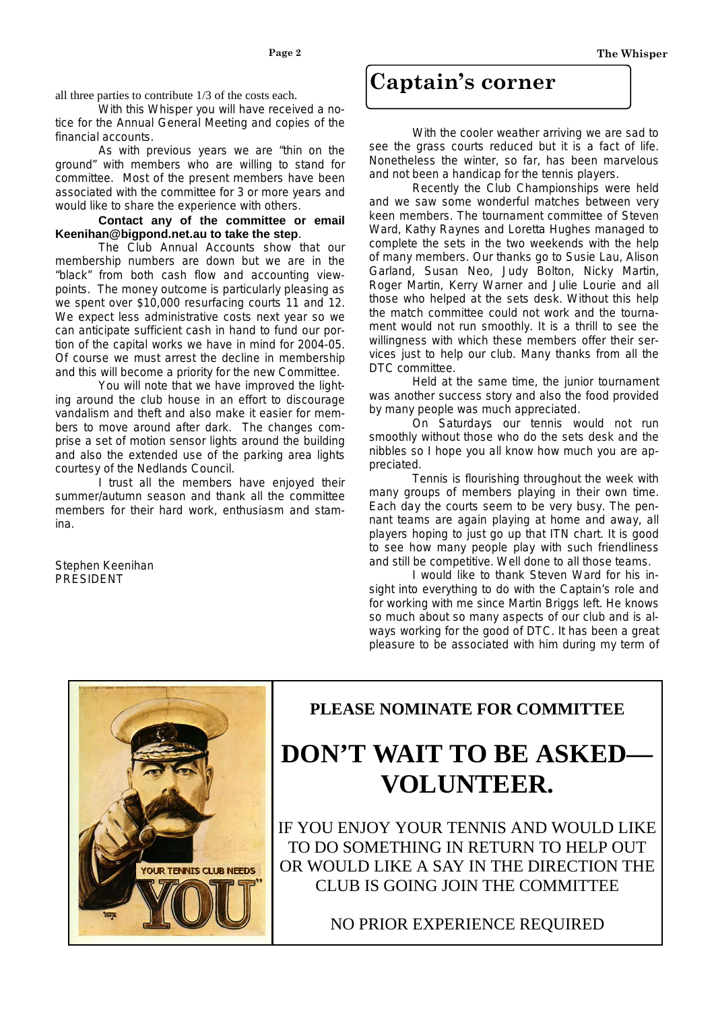all three parties to contribute 1/3 of the costs each.

 With this Whisper you will have received a notice for the Annual General Meeting and copies of the financial accounts.

 As with previous years we are "thin on the ground" with members who are willing to stand for committee. Most of the present members have been associated with the committee for 3 or more years and would like to share the experience with others.

 **Contact any of the committee or email Keenihan@bigpond.net.au to take the step**.

 The Club Annual Accounts show that our membership numbers are down but we are in the "black" from both cash flow and accounting viewpoints. The money outcome is particularly pleasing as we spent over \$10,000 resurfacing courts 11 and 12. We expect less administrative costs next year so we can anticipate sufficient cash in hand to fund our portion of the capital works we have in mind for 2004-05. Of course we must arrest the decline in membership and this will become a priority for the new Committee.

 You will note that we have improved the lighting around the club house in an effort to discourage vandalism and theft and also make it easier for members to move around after dark. The changes comprise a set of motion sensor lights around the building and also the extended use of the parking area lights courtesy of the Nedlands Council.

 I trust all the members have enjoyed their summer/autumn season and thank all the committee members for their hard work, enthusiasm and stamina.

Stephen Keenihan PRESIDENT

# **Captain's corner**

With the cooler weather arriving we are sad to see the grass courts reduced but it is a fact of life. Nonetheless the winter, so far, has been marvelous and not been a handicap for the tennis players.

Recently the Club Championships were held and we saw some wonderful matches between very keen members. The tournament committee of Steven Ward, Kathy Raynes and Loretta Hughes managed to complete the sets in the two weekends with the help of many members. Our thanks go to Susie Lau, Alison Garland, Susan Neo, Judy Bolton, Nicky Martin, Roger Martin, Kerry Warner and Julie Lourie and all those who helped at the sets desk. Without this help the match committee could not work and the tournament would not run smoothly. It is a thrill to see the willingness with which these members offer their services just to help our club. Many thanks from all the DTC committee.

Held at the same time, the junior tournament was another success story and also the food provided by many people was much appreciated.

On Saturdays our tennis would not run smoothly without those who do the sets desk and the nibbles so I hope you all know how much you are appreciated.

Tennis is flourishing throughout the week with many groups of members playing in their own time. Each day the courts seem to be very busy. The pennant teams are again playing at home and away, all players hoping to just go up that ITN chart. It is good to see how many people play with such friendliness and still be competitive. Well done to all those teams.

I would like to thank Steven Ward for his insight into everything to do with the Captain's role and for working with me since Martin Briggs left. He knows so much about so many aspects of our club and is always working for the good of DTC. It has been a great pleasure to be associated with him during my term of



# **PLEASE NOMINATE FOR COMMITTEE**

# **DON'T WAIT TO BE ASKED VOLUNTEER.**

IF YOU ENJOY YOUR TENNIS AND WOULD LIKE TO DO SOMETHING IN RETURN TO HELP OUT OR WOULD LIKE A SAY IN THE DIRECTION THE CLUB IS GOING JOIN THE COMMITTEE

NO PRIOR EXPERIENCE REQUIRED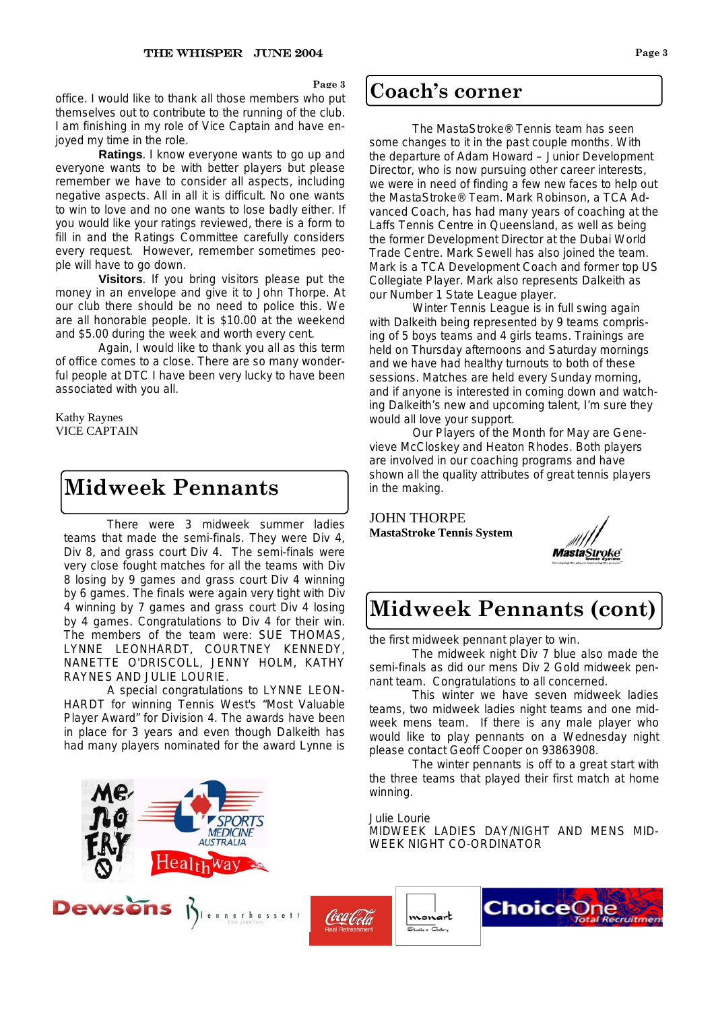**Page 3** 

**Coach's corner** office. I would like to thank all those members who put  $\left| \mathbf{Coach's corner} \right|$ themselves out to contribute to the running of the club. I am finishing in my role of Vice Captain and have enjoyed my time in the role.

**Ratings.** I know everyone wants to go up and everyone wants to be with better players but please remember we have to consider all aspects, including negative aspects. All in all it is difficult. No one wants to win to love and no one wants to lose badly either. If you would like your ratings reviewed, there is a form to fill in and the Ratings Committee carefully considers every request. However, remember sometimes people will have to go down.

**Visitors**. If you bring visitors please put the money in an envelope and give it to John Thorpe. At our club there should be no need to police this. We are all honorable people. It is \$10.00 at the weekend and \$5.00 during the week and worth every cent.

Again, I would like to thank you all as this term of office comes to a close. There are so many wonderful people at DTC I have been very lucky to have been associated with you all.

Kathy Raynes VICE CAPTAIN

# **Midweek Pennants**

There were 3 midweek summer ladies teams that made the semi-finals. They were Div 4, Div 8, and grass court Div 4. The semi-finals were very close fought matches for all the teams with Div 8 losing by 9 games and grass court Div 4 winning by 6 games. The finals were again very tight with Div 4 winning by 7 games and grass court Div 4 losing by 4 games. Congratulations to Div 4 for their win. The members of the team were: SUE THOMAS, LYNNE LEONHARDT, COURTNEY KENNEDY, NANETTE O'DRISCOLL, JENNY HOLM, KATHY RAYNES AND JULIE LOURIE.

A special congratulations to LYNNE LEON-HARDT for winning Tennis West's "Most Valuable Player Award" for Division 4. The awards have been in place for 3 years and even though Dalkeith has had many players nominated for the award Lynne is



 The MastaStroke® Tennis team has seen some changes to it in the past couple months. With the departure of Adam Howard – Junior Development Director, who is now pursuing other career interests, we were in need of finding a few new faces to help out the MastaStroke® Team. Mark Robinson, a TCA Advanced Coach, has had many years of coaching at the Laffs Tennis Centre in Queensland, as well as being the former Development Director at the Dubai World Trade Centre. Mark Sewell has also joined the team. Mark is a TCA Development Coach and former top US Collegiate Player. Mark also represents Dalkeith as our Number 1 State League player.

 Winter Tennis League is in full swing again with Dalkeith being represented by 9 teams comprising of 5 boys teams and 4 girls teams. Trainings are held on Thursday afternoons and Saturday mornings and we have had healthy turnouts to both of these sessions. Matches are held every Sunday morning, and if anyone is interested in coming down and watching Dalkeith's new and upcoming talent, I'm sure they would all love your support.

 Our Players of the Month for May are Genevieve McCloskey and Heaton Rhodes. Both players are involved in our coaching programs and have shown all the quality attributes of great tennis players in the making.

JOHN THORPE **MastaStroke Tennis System** 



# **Midweek Pennants (cont)**

the first midweek pennant player to win.

The midweek night Div 7 blue also made the semi-finals as did our mens Div 2 Gold midweek pennant team. Congratulations to all concerned.

This winter we have seven midweek ladies teams, two midweek ladies night teams and one midweek mens team. If there is any male player who would like to play pennants on a Wednesday night please contact Geoff Cooper on 93863908.

The winter pennants is off to a great start with the three teams that played their first match at home winning.

Julie Lourie

MIDWEEK LADIES DAY/NIGHT AND MENS MID-WEEK NIGHT CO-ORDINATOR

Coca Cola

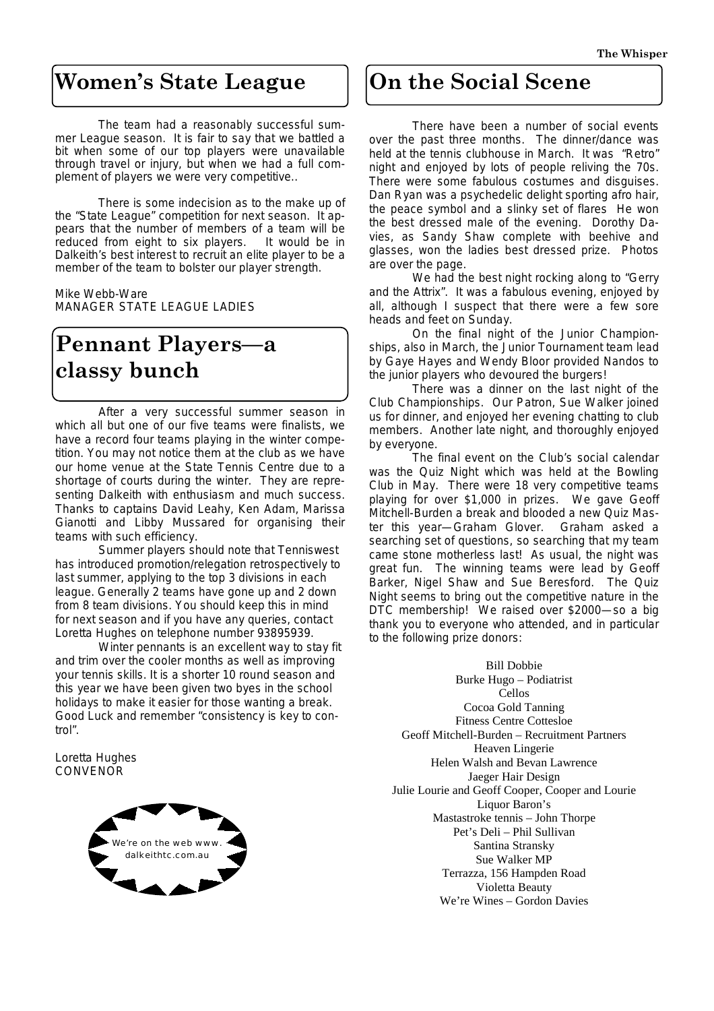# **Women's State League**

 The team had a reasonably successful summer League season. It is fair to say that we battled a bit when some of our top players were unavailable through travel or injury, but when we had a full complement of players we were very competitive..

 There is some indecision as to the make up of the "State League" competition for next season. It appears that the number of members of a team will be reduced from eight to six players. It would be in reduced from eight to six players. Dalkeith's best interest to recruit an elite player to be a member of the team to bolster our player strength.

Mike Webb-Ware MANAGER STATE LEAGUE LADIES

# **Pennant Players—a classy bunch**

 After a very successful summer season in which all but one of our five teams were finalists, we have a record four teams playing in the winter competition. You may not notice them at the club as we have our home venue at the State Tennis Centre due to a shortage of courts during the winter. They are representing Dalkeith with enthusiasm and much success. Thanks to captains David Leahy, Ken Adam, Marissa Gianotti and Libby Mussared for organising their teams with such efficiency.

 Summer players should note that Tenniswest has introduced promotion/relegation retrospectively to last summer, applying to the top 3 divisions in each league. Generally 2 teams have gone up and 2 down from 8 team divisions. You should keep this in mind for next season and if you have any queries, contact Loretta Hughes on telephone number 93895939.

 Winter pennants is an excellent way to stay fit and trim over the cooler months as well as improving your tennis skills. It is a shorter 10 round season and this year we have been given two byes in the school holidays to make it easier for those wanting a break. Good Luck and remember "consistency is key to control".

Loretta Hughes **CONVENOR** 



# **On the Social Scene**

 There have been a number of social events over the past three months. The dinner/dance was held at the tennis clubhouse in March. It was "Retro" night and enjoyed by lots of people reliving the 70s. There were some fabulous costumes and disguises. Dan Ryan was a psychedelic delight sporting afro hair, the peace symbol and a slinky set of flares He won the best dressed male of the evening. Dorothy Davies, as Sandy Shaw complete with beehive and glasses, won the ladies best dressed prize. Photos are over the page.

 We had the best night rocking along to "Gerry and the Attrix". It was a fabulous evening, enjoyed by all, although I suspect that there were a few sore heads and feet on Sunday.

ships, also in March, the Junior Tournament team lead by Gaye Hayes and Wendy Bloor provided Nandos to On the final night of the Junior Championthe junior players who devoured the burgers!

 There was a dinner on the last night of the Club Championships. Our Patron, Sue Walker joined us for dinner, and enjoyed her evening chatting to club members. Another late night, and thoroughly enjoyed by everyone.

 The final event on the Club's social calendar was the Quiz Night which was held at the Bowling Club in May. There were 18 very competitive teams playing for over \$1,000 in prizes. We gave Geoff Mitchell-Burden a break and blooded a new Quiz Master this year—Graham Glover. Graham asked a searching set of questions, so searching that my team came stone motherless last! As usual, the night was great fun. The winning teams were lead by Geoff Barker, Nigel Shaw and Sue Beresford. The Quiz Night seems to bring out the competitive nature in the DTC membership! We raised over \$2000—so a big thank you to everyone who attended, and in particular to the following prize donors:

Bill Dobbie Burke Hugo – Podiatrist Cellos Cocoa Gold Tanning Fitness Centre Cottesloe Geoff Mitchell-Burden – Recruitment Partners Heaven Lingerie Helen Walsh and Bevan Lawrence Jaeger Hair Design Julie Lourie and Geoff Cooper, Cooper and Lourie Liquor Baron's Mastastroke tennis – John Thorpe Pet's Deli – Phil Sullivan Santina Stransky Sue Walker MP Terrazza, 156 Hampden Road Violetta Beauty We're Wines – Gordon Davies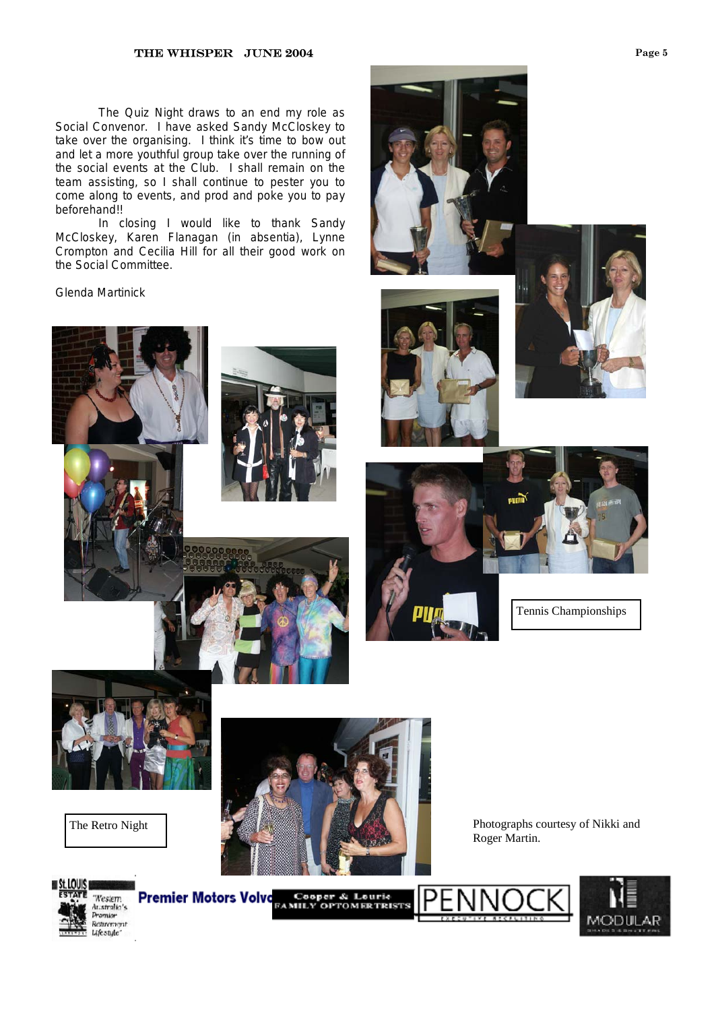#### **THE WHISPER JUNE 2004** Page 5

 The Quiz Night draws to an end my role as Social Convenor. I have asked Sandy McCloskey to take over the organising. I think it's time to bow out and let a more youthful group take over the running of the social events at the Club. I shall remain on the team assisting, so I shall continue to pester you to come along to events, and prod and poke you to pay beforehand!!

 In closing I would like to thank Sandy McCloskey, Karen Flanagan (in absentia), Lynne Crompton and Cecilia Hill for all their good work on the Social Committee.

Glenda Martinick













Tennis Championships





Roger Martin.